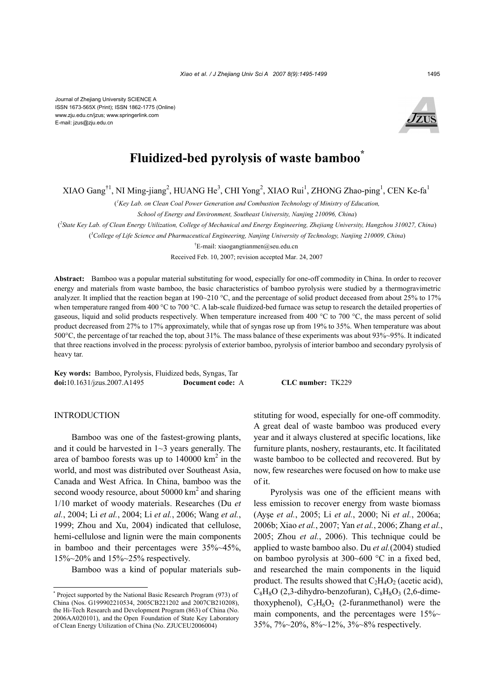

# **Fluidized-bed pyrolysis of waste bamboo\***

XIAO Gang<sup>†1</sup>, NI Ming-jiang<sup>2</sup>, HUANG He<sup>3</sup>, CHI Yong<sup>2</sup>, XIAO Rui<sup>1</sup>, ZHONG Zhao-ping<sup>1</sup>, CEN Ke-fa<sup>1</sup>

( *1 Key Lab. on Clean Coal Power Generation and Combustion Technology of Ministry of Education,* 

*School of Energy and Environment, Southeast University, Nanjing 210096, China*)

( *2 State Key Lab. of Clean Energy Utilization, College of Mechanical and Energy Engineering, Zhejiang University, Hangzhou 310027, China*)

( *3 College of Life Science and Pharmaceutical Engineering, Nanjing University of Technology, Nanjing 210009, China*)

† E-mail: xiaogangtianmen@seu.edu.cn

Received Feb. 10, 2007; revision accepted Mar. 24, 2007

**Abstract:** Bamboo was a popular material substituting for wood, especially for one-off commodity in China. In order to recover energy and materials from waste bamboo, the basic characteristics of bamboo pyrolysis were studied by a thermogravimetric analyzer. It implied that the reaction began at 190~210 °C, and the percentage of solid product deceased from about 25% to 17% when temperature ranged from 400 °C to 700 °C. A lab-scale fluidized-bed furnace was setup to research the detailed properties of gaseous, liquid and solid products respectively. When temperature increased from 400 °C to 700 °C, the mass percent of solid product decreased from 27% to 17% approximately, while that of syngas rose up from 19% to 35%. When temperature was about 500°C, the percentage of tar reached the top, about 31%. The mass balance of these experiments was about 93%~95%. It indicated that three reactions involved in the process: pyrolysis of exterior bamboo, pyrolysis of interior bamboo and secondary pyrolysis of heavy tar.

**Key words:** Bamboo, Pyrolysis, Fluidized beds, Syngas, Tar **doi:**10.1631/jzus.2007.A1495 **Document code:** A **CLC number:** TK229

# **INTRODUCTION**

Bamboo was one of the fastest-growing plants, and it could be harvested in 1~3 years generally. The area of bamboo forests was up to  $140000 \text{ km}^2$  in the world, and most was distributed over Southeast Asia, Canada and West Africa. In China, bamboo was the second woody resource, about  $50000 \text{ km}^2$  and sharing 1/10 market of woody materials. Researches (Du *et al.*, 2004; Li *et al.*, 2004; Li *et al.*, 2006; Wang *et al.*, 1999; Zhou and Xu, 2004) indicated that cellulose, hemi-cellulose and lignin were the main components in bamboo and their percentages were 35%~45%, 15%~20% and 15%~25% respectively.

Bamboo was a kind of popular materials sub-

stituting for wood, especially for one-off commodity. A great deal of waste bamboo was produced every year and it always clustered at specific locations, like furniture plants, noshery, restaurants, etc. It facilitated waste bamboo to be collected and recovered. But by now, few researches were focused on how to make use of it.

Pyrolysis was one of the efficient means with less emission to recover energy from waste biomass (Ayşe *et al.*, 2005; Li *et al.*, 2000; Ni *et al.*, 2006a; 2006b; Xiao *et al.*, 2007; Yan *et al.*, 2006; Zhang *et al.*, 2005; Zhou *et al.*, 2006). This technique could be applied to waste bamboo also. Du *et al.*(2004) studied on bamboo pyrolysis at 300~600 °C in a fixed bed, and researched the main components in the liquid product. The results showed that  $C_2H_4O_2$  (acetic acid),  $C_8H_8O$  (2,3-dihydro-benzofuran),  $C_8H_8O_3$  (2,6-dimethoxyphenol),  $C_5H_6O_2$  (2-furanmethanol) were the main components, and the percentages were  $15\%~$ 35%, 7%~20%, 8%~12%, 3%~8% respectively.

<sup>\*</sup> Project supported by the National Basic Research Program (973) of China (Nos. G199902210534, 2005CB221202 and 2007CB210208), the Hi-Tech Research and Development Program (863) of China (No. 2006AA020101), and the Open Foundation of State Key Laboratory of Clean Energy Utilization of China (No. ZJUCEU2006004)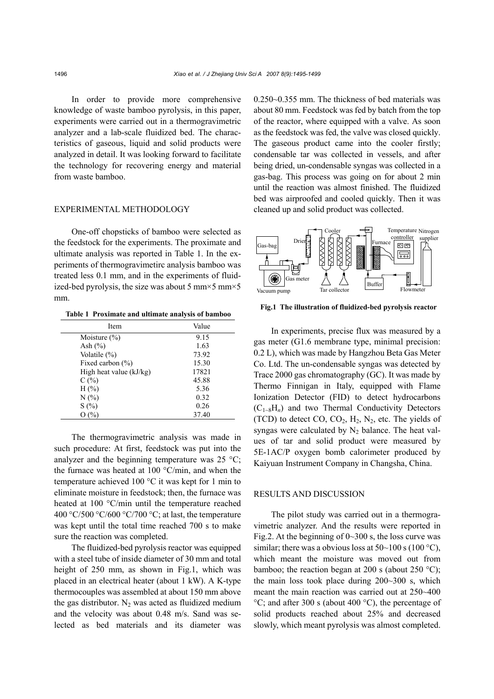In order to provide more comprehensive knowledge of waste bamboo pyrolysis, in this paper, experiments were carried out in a thermogravimetric analyzer and a lab-scale fluidized bed. The characteristics of gaseous, liquid and solid products were analyzed in detail. It was looking forward to facilitate the technology for recovering energy and material from waste bamboo.

### EXPERIMENTAL METHODOLOGY

One-off chopsticks of bamboo were selected as the feedstock for the experiments. The proximate and ultimate analysis was reported in Table 1. In the experiments of thermogravimetirc analysis bamboo was treated less 0.1 mm, and in the experiments of fluidized-bed pyrolysis, the size was about 5 mm $\times$ 5 mm $\times$ 5 mm.

**Table 1 Proximate and ultimate analysis of bamboo**

| Item                    | Value |  |  |  |
|-------------------------|-------|--|--|--|
| Moisture $(\% )$        | 9.15  |  |  |  |
| Ash $(\% )$             | 1.63  |  |  |  |
| Volatile $(\%)$         | 73.92 |  |  |  |
| Fixed carbon $(\% )$    | 15.30 |  |  |  |
| High heat value (kJ/kg) | 17821 |  |  |  |
| C(%)                    | 45.88 |  |  |  |
| $H(\% )$                | 5.36  |  |  |  |
| N(%)                    | 0.32  |  |  |  |
| S(%)                    | 0.26  |  |  |  |
| O (%)                   | 37.40 |  |  |  |

The thermogravimetric analysis was made in such procedure: At first, feedstock was put into the analyzer and the beginning temperature was  $25 \text{ °C}$ ; the furnace was heated at 100 °C/min, and when the temperature achieved 100 °C it was kept for 1 min to eliminate moisture in feedstock; then, the furnace was heated at 100 °C/min until the temperature reached 400 °C/500 °C/600 °C/700 °C; at last, the temperature was kept until the total time reached 700 s to make sure the reaction was completed.

The fluidized-bed pyrolysis reactor was equipped with a steel tube of inside diameter of 30 mm and total height of 250 mm, as shown in Fig.1, which was placed in an electrical heater (about 1 kW). A K-type thermocouples was assembled at about 150 mm above the gas distributor.  $N_2$  was acted as fluidized medium and the velocity was about 0.48 m/s. Sand was selected as bed materials and its diameter was 0.250~0.355 mm. The thickness of bed materials was about 80 mm. Feedstock was fed by batch from the top of the reactor, where equipped with a valve. As soon as the feedstock was fed, the valve was closed quickly. The gaseous product came into the cooler firstly; condensable tar was collected in vessels, and after being dried, un-condensable syngas was collected in a gas-bag. This process was going on for about 2 min until the reaction was almost finished. The fluidized bed was airproofed and cooled quickly. Then it was cleaned up and solid product was collected.



**Fig.1 The illustration of fluidized-bed pyrolysis reactor**

In experiments, precise flux was measured by a gas meter (G1.6 membrane type, minimal precision: 0.2 L), which was made by Hangzhou Beta Gas Meter Co. Ltd. The un-condensable syngas was detected by Trace 2000 gas chromatography (GC). It was made by Thermo Finnigan in Italy, equipped with Flame Ionization Detector (FID) to detect hydrocarbons  $(C_{1\sim 8}H_n)$  and two Thermal Conductivity Detectors (TCD) to detect  $CO$ ,  $CO<sub>2</sub>$ ,  $H<sub>2</sub>$ ,  $N<sub>2</sub>$ , etc. The yields of syngas were calculated by  $N_2$  balance. The heat values of tar and solid product were measured by 5E-1AC/P oxygen bomb calorimeter produced by Kaiyuan Instrument Company in Changsha, China.

## RESULTS AND DISCUSSION

The pilot study was carried out in a thermogravimetric analyzer. And the results were reported in Fig.2. At the beginning of  $0 \sim 300$  s, the loss curve was similar; there was a obvious loss at  $50~100~\text{s}$  (100 °C), which meant the moisture was moved out from bamboo; the reaction began at 200 s (about 250 °C); the main loss took place during 200~300 s, which meant the main reaction was carried out at 250~400  $°C$ ; and after 300 s (about 400  $°C$ ), the percentage of solid products reached about 25% and decreased slowly, which meant pyrolysis was almost completed.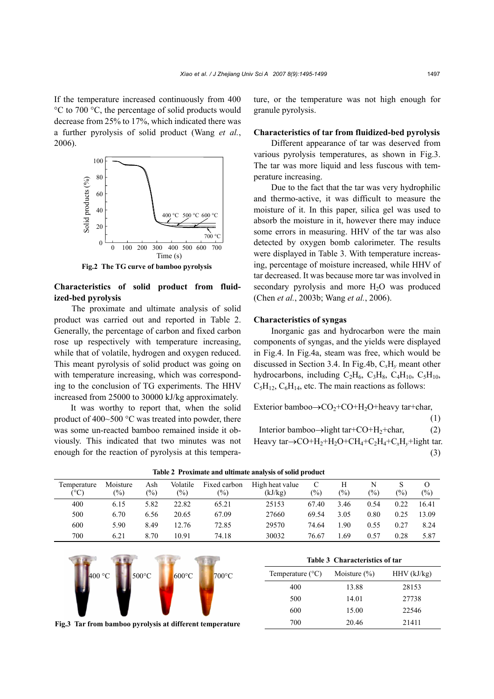If the temperature increased continuously from 400 °C to 700 °C, the percentage of solid products would decrease from 25% to 17%, which indicated there was a further pyrolysis of solid product (Wang *et al.*, 2006).



**Fig.2 The TG curve of bamboo pyrolysis**

## **Characteristics of solid product from fluidized-bed pyrolysis**

The proximate and ultimate analysis of solid product was carried out and reported in Table 2. Generally, the percentage of carbon and fixed carbon rose up respectively with temperature increasing, while that of volatile, hydrogen and oxygen reduced. This meant pyrolysis of solid product was going on with temperature increasing, which was corresponding to the conclusion of TG experiments. The HHV increased from 25000 to 30000 kJ/kg approximately.

It was worthy to report that, when the solid product of 400~500 °C was treated into powder, there was some un-reacted bamboo remained inside it obviously. This indicated that two minutes was not enough for the reaction of pyrolysis at this temperature, or the temperature was not high enough for granule pyrolysis.

## **Characteristics of tar from fluidized-bed pyrolysis**

Different appearance of tar was deserved from various pyrolysis temperatures, as shown in Fig.3. The tar was more liquid and less fuscous with temperature increasing.

Due to the fact that the tar was very hydrophilic and thermo-active, it was difficult to measure the moisture of it. In this paper, silica gel was used to absorb the moisture in it, however there may induce some errors in measuring. HHV of the tar was also detected by oxygen bomb calorimeter. The results were displayed in Table 3. With temperature increasing, percentage of moisture increased, while HHV of tar decreased. It was because more tar was involved in secondary pyrolysis and more H<sub>2</sub>O was produced (Chen *et al.*, 2003b; Wang *et al.*, 2006).

#### **Characteristics of syngas**

Inorganic gas and hydrocarbon were the main components of syngas, and the yields were displayed in Fig.4. In Fig.4a, steam was free, which would be discussed in Section 3.4. In Fig.4b, C*x*H*y* meant other hydrocarbons, including  $C_2H_6$ ,  $C_3H_8$ ,  $C_4H_{10}$ ,  $C_5H_{10}$ ,  $C_5H_{12}$ ,  $C_6H_{14}$ , etc. The main reactions as follows:

Exterior bamboo $\rightarrow$ CO<sub>2</sub>+CO+H<sub>2</sub>O+heavy tar+char,

(1) Interior bamboo $\rightarrow$ light tar+CO+H<sub>2</sub>+char, (2) Heavy tar→CO+H2+H2O+CH4+C2H4+C*x*H*y*+light tar. (3)

| Temperature<br>(°C) | Moisture<br>$(\%)$ | Ash<br>$(\%)$ | Volatile<br>$(\%)$ | Fixed carbon<br>$(\%)$ | High heat value<br>(kJ/kg) | (%)   | Н<br>$\frac{1}{2}$ | N<br>(%) | $\frac{1}{2}$ | O<br>$(\%)$ |
|---------------------|--------------------|---------------|--------------------|------------------------|----------------------------|-------|--------------------|----------|---------------|-------------|
| 400                 | 6.15               | 5.82          | 22.82              | 65.21                  | 25153                      | 67.40 | 3.46               | 0.54     | 0.22          | 16.41       |
| 500                 | 6.70               | 6.56          | 20.65              | 67.09                  | 27660                      | 69.54 | 3.05               | 0.80     | 0.25          | 13.09       |
| 600                 | 5.90               | 8.49          | 12.76              | 72.85                  | 29570                      | 74.64 | .90                | 0.55     | 0.27          | 8.24        |
| 700                 | 6.21               | 8.70          | 10.91              | 74.18                  | 30032                      | 76.67 | .69                | 0.57     | 0.28          | 5.87        |

**Table 2 Proximate and ultimate analysis of solid product** 



**Table 3 Characteristics of tar** Temperature  $(^{\circ}C)$  Moisture  $(^{\circ}O)$  HHV (kJ/kg) 400 13.88 28153 500 14.01 27738 600 15.00 22546 700 20.46 21411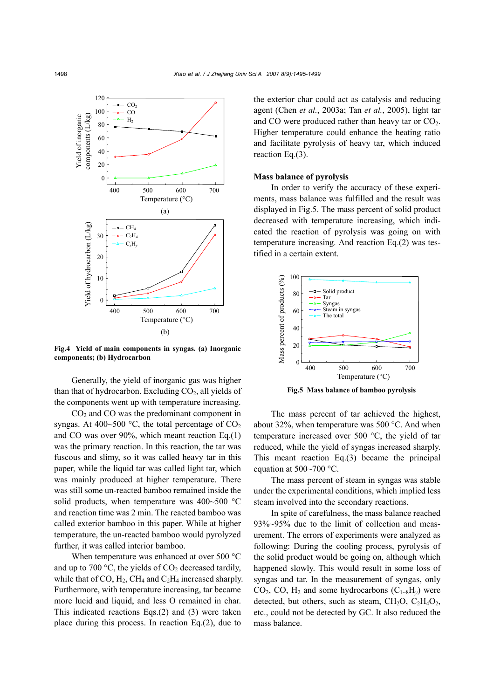

**Fig.4 Yield of main components in syngas. (a) Inorganic components; (b) Hydrocarbon** 

Generally, the yield of inorganic gas was higher than that of hydrocarbon. Excluding  $CO<sub>2</sub>$ , all yields of the components went up with temperature increasing.

 $CO<sub>2</sub>$  and  $CO$  was the predominant component in syngas. At 400~500 °C, the total percentage of  $CO<sub>2</sub>$ and CO was over 90%, which meant reaction Eq.(1) was the primary reaction. In this reaction, the tar was fuscous and slimy, so it was called heavy tar in this paper, while the liquid tar was called light tar, which was mainly produced at higher temperature. There was still some un-reacted bamboo remained inside the solid products, when temperature was 400~500 °C and reaction time was 2 min. The reacted bamboo was called exterior bamboo in this paper. While at higher temperature, the un-reacted bamboo would pyrolyzed further, it was called interior bamboo.

When temperature was enhanced at over 500 °C and up to 700  $\degree$ C, the yields of CO<sub>2</sub> decreased tardily, while that of CO,  $H_2$ , CH<sub>4</sub> and C<sub>2</sub>H<sub>4</sub> increased sharply. Furthermore, with temperature increasing, tar became more lucid and liquid, and less O remained in char. This indicated reactions Eqs.(2) and (3) were taken place during this process. In reaction Eq.(2), due to

the exterior char could act as catalysis and reducing agent (Chen *et al.*, 2003a; Tan *et al.*, 2005), light tar and CO were produced rather than heavy tar or  $CO<sub>2</sub>$ . Higher temperature could enhance the heating ratio and facilitate pyrolysis of heavy tar, which induced reaction Eq.(3).

#### **Mass balance of pyrolysis**

In order to verify the accuracy of these experiments, mass balance was fulfilled and the result was displayed in Fig.5. The mass percent of solid product decreased with temperature increasing, which indicated the reaction of pyrolysis was going on with temperature increasing. And reaction Eq.(2) was testified in a certain extent.



**Fig.5 Mass balance of bamboo pyrolysis** 

The mass percent of tar achieved the highest, about 32%, when temperature was 500 °C. And when temperature increased over 500 °C, the yield of tar reduced, while the yield of syngas increased sharply. This meant reaction Eq.(3) became the principal equation at 500~700 °C.

The mass percent of steam in syngas was stable under the experimental conditions, which implied less steam involved into the secondary reactions.

In spite of carefulness, the mass balance reached 93%~95% due to the limit of collection and measurement. The errors of experiments were analyzed as following: During the cooling process, pyrolysis of the solid product would be going on, although which happened slowly. This would result in some loss of syngas and tar. In the measurement of syngas, only  $CO<sub>2</sub>$ ,  $CO$ ,  $H<sub>2</sub>$  and some hydrocarbons  $(C<sub>1~8</sub>H<sub>v</sub>)$  were detected, but others, such as steam,  $CH<sub>2</sub>O$ ,  $C<sub>2</sub>H<sub>4</sub>O<sub>2</sub>$ , etc., could not be detected by GC. It also reduced the mass balance.